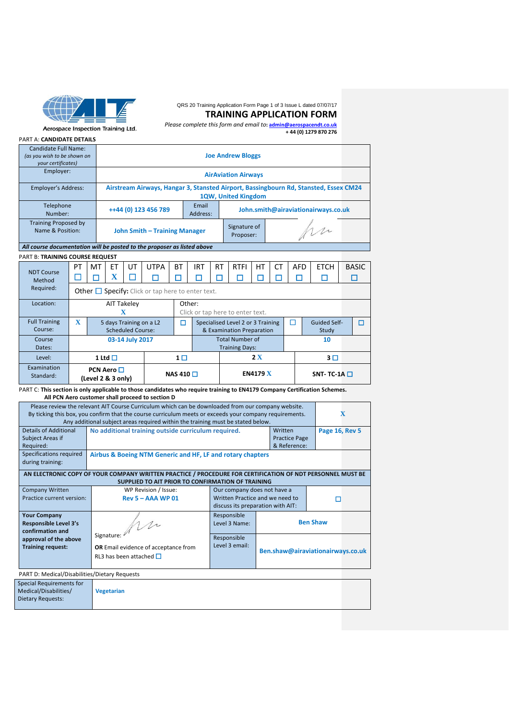

# QRS 20 Training Application Form Page 1 of 3 Issue L dated 07/07/17

#### **TRAINING APPLICATION FORM**

Aerospace Inspection Training Ltd.

*Please complete this form and email to***[: admin@aerospacendt.co.uk](mailto:admin@aerospacendt.co.uk)  + 44 (0) 1279 870 276**

#### PART A: **CANDIDATE DETAILS**

|                                                                         |                                                                                        | Candidate Full Name:<br>(as you wish to be shown on<br>your certificates) |    |                                                                                                             | <b>Joe Andrew Bloggs</b> |                                                        |                                                                              |  |            |                           |                                                 |           |           |            |  |             |  |              |
|-------------------------------------------------------------------------|----------------------------------------------------------------------------------------|---------------------------------------------------------------------------|----|-------------------------------------------------------------------------------------------------------------|--------------------------|--------------------------------------------------------|------------------------------------------------------------------------------|--|------------|---------------------------|-------------------------------------------------|-----------|-----------|------------|--|-------------|--|--------------|
|                                                                         | Employer:<br>Employer's Address:                                                       |                                                                           |    | <b>AirAviation Airways</b>                                                                                  |                          |                                                        |                                                                              |  |            |                           |                                                 |           |           |            |  |             |  |              |
|                                                                         |                                                                                        |                                                                           |    | Airstream Airways, Hangar 3, Stansted Airport, Bassingbourn Rd, Stansted, Essex CM24<br>1QW, United Kingdom |                          |                                                        |                                                                              |  |            |                           |                                                 |           |           |            |  |             |  |              |
|                                                                         | Telephone<br>Number:                                                                   |                                                                           |    | Email<br>++44 (0) 123 456 789<br>John.smith@airaviationairways.co.uk<br>Address:                            |                          |                                                        |                                                                              |  |            |                           |                                                 |           |           |            |  |             |  |              |
|                                                                         | <b>Training Proposed by</b><br>Name & Position:                                        |                                                                           |    | John Smith - Training Manager                                                                               |                          |                                                        |                                                                              |  |            | Signature of<br>Proposer: |                                                 |           | Mr        |            |  |             |  |              |
| All course documentation will be posted to the proposer as listed above |                                                                                        |                                                                           |    |                                                                                                             |                          |                                                        |                                                                              |  |            |                           |                                                 |           |           |            |  |             |  |              |
|                                                                         | PART B: TRAINING COURSE REQUEST                                                        |                                                                           |    |                                                                                                             |                          |                                                        |                                                                              |  |            |                           |                                                 |           |           |            |  |             |  |              |
|                                                                         | <b>NDT Course</b>                                                                      | PT                                                                        | MT | ET                                                                                                          | UT                       | <b>UTPA</b>                                            | <b>BT</b>                                                                    |  | <b>IRT</b> | <b>RT</b>                 | <b>RTFI</b>                                     | <b>HT</b> | <b>CT</b> | <b>AFD</b> |  | <b>ETCH</b> |  | <b>BASIC</b> |
|                                                                         | Method                                                                                 | $\blacksquare$                                                            | ┓  | X                                                                                                           |                          | □                                                      | Г                                                                            |  | П          | ×                         | П                                               | П         |           |            |  | п           |  | П            |
|                                                                         | Required:                                                                              |                                                                           |    |                                                                                                             |                          | Other $\Box$ Specify: Click or tap here to enter text. |                                                                              |  |            |                           |                                                 |           |           |            |  |             |  |              |
|                                                                         | Location:<br>Other:<br>AIT Takeley<br>$\mathbf{x}$<br>Click or tap here to enter text. |                                                                           |    |                                                                                                             |                          |                                                        |                                                                              |  |            |                           |                                                 |           |           |            |  |             |  |              |
|                                                                         |                                                                                        |                                                                           |    |                                                                                                             |                          |                                                        |                                                                              |  |            |                           |                                                 |           |           |            |  |             |  |              |
|                                                                         | <b>Full Training</b><br>Course:                                                        | $\mathbf{x}$<br>5 days Training on a L2<br><b>Scheduled Course:</b>       |    |                                                                                                             | п                        |                                                        | П<br>Specialised Level 2 or 3 Training<br>& Examination Preparation<br>Study |  |            |                           | <b>Guided Self-</b>                             |           | п         |            |  |             |  |              |
|                                                                         | Course<br>Dates:                                                                       |                                                                           |    | 03-14 July 2017                                                                                             |                          |                                                        |                                                                              |  |            |                           | <b>Total Number of</b><br><b>Training Days:</b> |           |           |            |  | 10          |  |              |

Level:  $\begin{vmatrix} 1 & 1 & 1 \end{vmatrix}$  **1**  $\begin{vmatrix} 1 & 0 \end{vmatrix}$  **2**  $\begin{vmatrix} 2 & 3 & 1 \end{vmatrix}$  **3**  $\begin{vmatrix} 3 & 1 \end{vmatrix}$ **Examination** Standard: **PCN Aero** ☐ **(Level 2 & 3 only) NAS 410** □ **EN4179**  $\overline{X}$  SNT- TC-1A □ PART C: **This section is only applicable to those candidates who require training to EN4179 Company Certification Schemes.** 

 **All PCN Aero customer shall proceed to section D**

| Please review the relevant AIT Course Curriculum which can be downloaded from our company website.<br>$\mathbf x$<br>By ticking this box, you confirm that the course curriculum meets or exceeds your company requirements.<br>Any additional subject areas required within the training must be stated below. |                                                                                                     |                               |  |                                   |  |  |  |  |  |  |
|-----------------------------------------------------------------------------------------------------------------------------------------------------------------------------------------------------------------------------------------------------------------------------------------------------------------|-----------------------------------------------------------------------------------------------------|-------------------------------|--|-----------------------------------|--|--|--|--|--|--|
| Details of Additional<br>Subject Areas if<br>Required:                                                                                                                                                                                                                                                          | Page 16, Rev 5<br><b>Practice Page</b><br>& Reference:                                              |                               |  |                                   |  |  |  |  |  |  |
| Specifications required<br>Airbus & Boeing NTM Generic and HF, LF and rotary chapters<br>during training:                                                                                                                                                                                                       |                                                                                                     |                               |  |                                   |  |  |  |  |  |  |
| AN ELECTRONIC COPY OF YOUR COMPANY WRITTEN PRACTICE / PROCEDURE FOR CERTIFICATION OF NDT PERSONNEL MUST BE<br>SUPPLIED TO AIT PRIOR TO CONFIRMATION OF TRAINING                                                                                                                                                 |                                                                                                     |                               |  |                                   |  |  |  |  |  |  |
| <b>Company Written</b><br>Practice current version:                                                                                                                                                                                                                                                             | Our company does not have a<br>Written Practice and we need to<br>discuss its preparation with AIT: | П                             |  |                                   |  |  |  |  |  |  |
| <b>Your Company</b><br><b>Responsible Level 3's</b><br>confirmation and                                                                                                                                                                                                                                         | Mr                                                                                                  | Responsible<br>Level 3 Name:  |  | <b>Ben Shaw</b>                   |  |  |  |  |  |  |
| approval of the above<br><b>Training request:</b>                                                                                                                                                                                                                                                               | Signature:<br>OR Email evidence of acceptance from<br>RL3 has been attached $\Box$                  | Responsible<br>Level 3 email: |  | Ben.shaw@airaviationairways.co.uk |  |  |  |  |  |  |
| PART D: Medical/Disabilities/Dietary Requests                                                                                                                                                                                                                                                                   |                                                                                                     |                               |  |                                   |  |  |  |  |  |  |
| Special Requirements for<br>Medical/Disabilities/<br>Dietary Requests:                                                                                                                                                                                                                                          | <b>Vegetarian</b>                                                                                   |                               |  |                                   |  |  |  |  |  |  |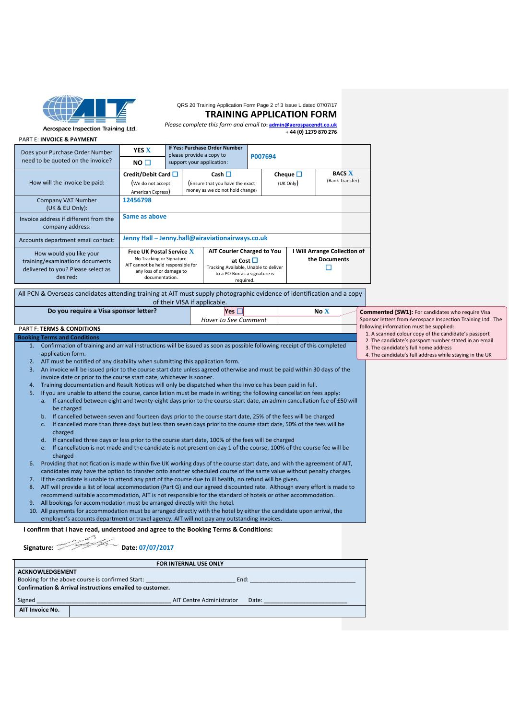

### QRS 20 Training Application Form Page 2 of 3 Issue L dated 07/07/17

#### **TRAINING APPLICATION FORM**

Aerospace Inspection Training Ltd.

*Please complete this form and email to***[: admin@aerospacendt.co.uk](mailto:admin@aerospacendt.co.uk)  + 44 (0) 1279 870 276**

| Does your Purchase Order Number                                                                              | <b>YES X</b>                                                                                                                                     |  | If Yes: Purchase Order Number<br>please provide a copy to                                                                      | P007694                    |                                                    |  |                                  |  |
|--------------------------------------------------------------------------------------------------------------|--------------------------------------------------------------------------------------------------------------------------------------------------|--|--------------------------------------------------------------------------------------------------------------------------------|----------------------------|----------------------------------------------------|--|----------------------------------|--|
| need to be quoted on the invoice?                                                                            | NO <sub>1</sub>                                                                                                                                  |  | support your application:                                                                                                      |                            |                                                    |  |                                  |  |
| How will the invoice be paid:                                                                                | Credit/Debit Card<br>(We do not accept<br>American Express)                                                                                      |  | Cash $\Box$<br>(Ensure that you have the exact<br>money as we do not hold change)                                              | Cheque $\Box$<br>(UK Only) |                                                    |  | <b>BACS X</b><br>(Bank Transfer) |  |
| <b>Company VAT Number</b><br>(UK & EU Only):                                                                 | 12456798                                                                                                                                         |  |                                                                                                                                |                            |                                                    |  |                                  |  |
| Invoice address if different from the<br>company address:                                                    | Same as above                                                                                                                                    |  |                                                                                                                                |                            |                                                    |  |                                  |  |
| Accounts department email contact:                                                                           | Jenny Hall - Jenny.hall@airaviationairways.co.uk                                                                                                 |  |                                                                                                                                |                            |                                                    |  |                                  |  |
| How would you like your<br>training/examinations documents<br>delivered to you? Please select as<br>desired: | <b>Free UK Postal Service X</b><br>No Tracking or Signature.<br>AIT cannot be held responsible for<br>any loss of or damage to<br>documentation. |  | AIT Courier Charged to You<br>at Cost □<br>Tracking Available, Unable to deliver<br>to a PO Box as a signature is<br>required. |                            | <b>Will Arrange Collection of</b><br>the Documents |  |                                  |  |

All PCN & Overseas candidates attending training at AIT must supply photographic evidence of identification and a copy of their VISA if applicable.

|        | Do you require a Visa sponsor letter?                                                                                                   | Yes $\square$                                                                                   | No X | <b>Commented [SW1]: For candidates who require Visa</b>     |
|--------|-----------------------------------------------------------------------------------------------------------------------------------------|-------------------------------------------------------------------------------------------------|------|-------------------------------------------------------------|
|        |                                                                                                                                         | <b>Hover to See Comment</b>                                                                     |      | Sponsor letters from Aerospace Inspection Training Ltd. The |
|        | <b>PART F: TERMS &amp; CONDITIONS</b>                                                                                                   | following information must be supplied:<br>1. A scanned colour copy of the candidate's passport |      |                                                             |
|        | <b>Booking Terms and Conditions</b>                                                                                                     |                                                                                                 |      | 2. The candidate's passport number stated in an email       |
|        | 1. Confirmation of training and arrival instructions will be issued as soon as possible following receipt of this completed             |                                                                                                 |      | 3. The candidate's full home address                        |
|        | application form.                                                                                                                       | 4. The candidate's full address while staying in the UK                                         |      |                                                             |
|        | 2. AIT must be notified of any disability when submitting this application form.                                                        |                                                                                                 |      |                                                             |
|        | 3. An invoice will be issued prior to the course start date unless agreed otherwise and must be paid within 30 days of the              |                                                                                                 |      |                                                             |
|        | invoice date or prior to the course start date, whichever is sooner.                                                                    |                                                                                                 |      |                                                             |
| 4.     | Training documentation and Result Notices will only be dispatched when the invoice has been paid in full.                               |                                                                                                 |      |                                                             |
| 5.     | If you are unable to attend the course, cancellation must be made in writing; the following cancellation fees apply:                    |                                                                                                 |      |                                                             |
|        | a. If cancelled between eight and twenty-eight days prior to the course start date, an admin cancellation fee of £50 will<br>be charged |                                                                                                 |      |                                                             |
|        | b. If cancelled between seven and fourteen days prior to the course start date, 25% of the fees will be charged                         |                                                                                                 |      |                                                             |
|        | If cancelled more than three days but less than seven days prior to the course start date, 50% of the fees will be<br>c.                |                                                                                                 |      |                                                             |
|        | charged                                                                                                                                 |                                                                                                 |      |                                                             |
|        | d. If cancelled three days or less prior to the course start date, 100% of the fees will be charged                                     |                                                                                                 |      |                                                             |
|        | If cancellation is not made and the candidate is not present on day 1 of the course, 100% of the course fee will be<br>e.<br>charged    |                                                                                                 |      |                                                             |
| 6.     | Providing that notification is made within five UK working days of the course start date, and with the agreement of AIT,                |                                                                                                 |      |                                                             |
|        | candidates may have the option to transfer onto another scheduled course of the same value without penalty charges.                     |                                                                                                 |      |                                                             |
|        | 7. If the candidate is unable to attend any part of the course due to ill health, no refund will be given.                              |                                                                                                 |      |                                                             |
|        | AIT will provide a list of local accommodation (Part G) and our agreed discounted rate. Although every effort is made to                |                                                                                                 |      |                                                             |
|        | recommend suitable accommodation, AIT is not responsible for the standard of hotels or other accommodation.                             |                                                                                                 |      |                                                             |
|        | 9. All bookings for accommodation must be arranged directly with the hotel.                                                             |                                                                                                 |      |                                                             |
|        | 10. All payments for accommodation must be arranged directly with the hotel by either the candidate upon arrival, the                   |                                                                                                 |      |                                                             |
|        | employer's accounts department or travel agency. AIT will not pay any outstanding invoices.                                             |                                                                                                 |      |                                                             |
|        | I confirm that I have read, understood and agree to the Booking Terms & Conditions:                                                     |                                                                                                 |      |                                                             |
|        |                                                                                                                                         |                                                                                                 |      |                                                             |
|        | Date: 07/07/2017<br>Signature:                                                                                                          |                                                                                                 |      |                                                             |
|        |                                                                                                                                         | FOR INTERNAL USE ONLY                                                                           |      |                                                             |
|        | <b>ACKNOWLEDGEMENT</b>                                                                                                                  |                                                                                                 |      |                                                             |
|        | Booking for the above course is confirmed Start:                                                                                        |                                                                                                 |      |                                                             |
|        | Confirmation & Arrival instructions emailed to customer.                                                                                |                                                                                                 |      |                                                             |
| Signed |                                                                                                                                         | <b>AIT Centre Administrator</b><br>Date:                                                        |      |                                                             |
|        | AIT Invoice No.                                                                                                                         |                                                                                                 |      |                                                             |
|        |                                                                                                                                         |                                                                                                 |      |                                                             |